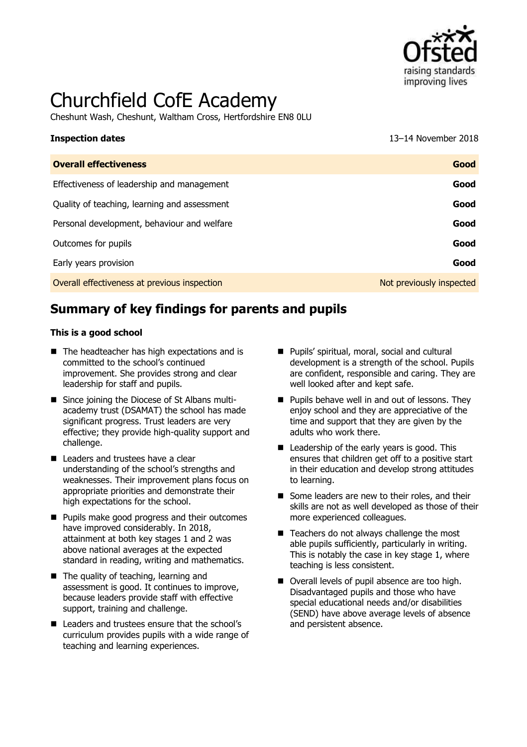

# Churchfield CofE Academy

Cheshunt Wash, Cheshunt, Waltham Cross, Hertfordshire EN8 0LU

**Inspection dates** 13–14 November 2018

| <b>Overall effectiveness</b>                 | Good                     |
|----------------------------------------------|--------------------------|
| Effectiveness of leadership and management   | Good                     |
| Quality of teaching, learning and assessment | Good                     |
| Personal development, behaviour and welfare  | Good                     |
| Outcomes for pupils                          | Good                     |
| Early years provision                        | Good                     |
| Overall effectiveness at previous inspection | Not previously inspected |
|                                              |                          |

# **Summary of key findings for parents and pupils**

#### **This is a good school**

- The headteacher has high expectations and is committed to the school's continued improvement. She provides strong and clear leadership for staff and pupils.
- Since joining the Diocese of St Albans multiacademy trust (DSAMAT) the school has made significant progress. Trust leaders are very effective; they provide high-quality support and challenge.
- **Leaders and trustees have a clear** understanding of the school's strengths and weaknesses. Their improvement plans focus on appropriate priorities and demonstrate their high expectations for the school.
- **Pupils make good progress and their outcomes** have improved considerably. In 2018, attainment at both key stages 1 and 2 was above national averages at the expected standard in reading, writing and mathematics.
- The quality of teaching, learning and assessment is good. It continues to improve, because leaders provide staff with effective support, training and challenge.
- Leaders and trustees ensure that the school's curriculum provides pupils with a wide range of teaching and learning experiences.
- **Pupils' spiritual, moral, social and cultural** development is a strength of the school. Pupils are confident, responsible and caring. They are well looked after and kept safe.
- $\blacksquare$  Pupils behave well in and out of lessons. They enjoy school and they are appreciative of the time and support that they are given by the adults who work there.
- Leadership of the early years is good. This ensures that children get off to a positive start in their education and develop strong attitudes to learning.
- Some leaders are new to their roles, and their skills are not as well developed as those of their more experienced colleagues.
- $\blacksquare$  Teachers do not always challenge the most able pupils sufficiently, particularly in writing. This is notably the case in key stage 1, where teaching is less consistent.
- Overall levels of pupil absence are too high. Disadvantaged pupils and those who have special educational needs and/or disabilities (SEND) have above average levels of absence and persistent absence.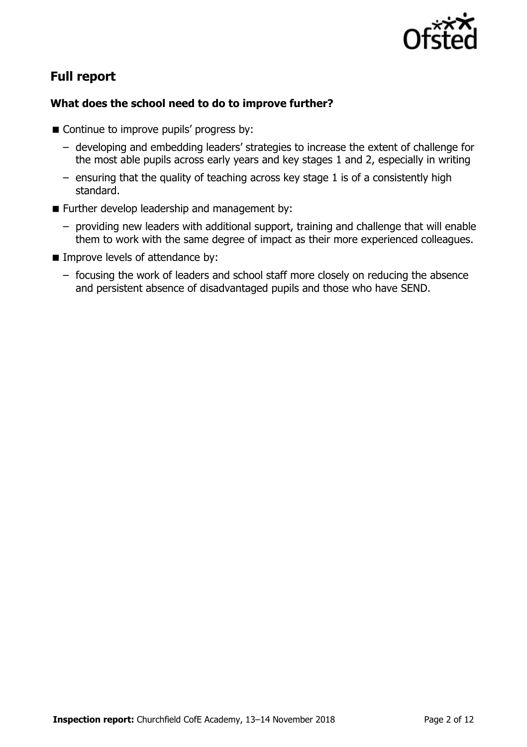

# **Full report**

### **What does the school need to do to improve further?**

- Continue to improve pupils' progress by:
	- developing and embedding leaders' strategies to increase the extent of challenge for the most able pupils across early years and key stages 1 and 2, especially in writing
	- ensuring that the quality of teaching across key stage 1 is of a consistently high standard.
- **Further develop leadership and management by:** 
	- providing new leaders with additional support, training and challenge that will enable them to work with the same degree of impact as their more experienced colleagues.
- **IMPROPE IMPROPE Incredent** Improve levels of attendance by:
	- focusing the work of leaders and school staff more closely on reducing the absence and persistent absence of disadvantaged pupils and those who have SEND.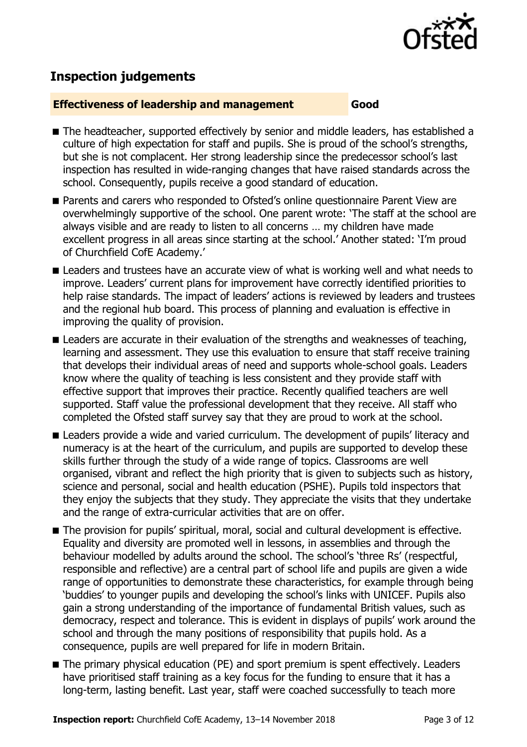

# **Inspection judgements**

#### **Effectiveness of leadership and management Good**

- The headteacher, supported effectively by senior and middle leaders, has established a culture of high expectation for staff and pupils. She is proud of the school's strengths, but she is not complacent. Her strong leadership since the predecessor school's last inspection has resulted in wide-ranging changes that have raised standards across the school. Consequently, pupils receive a good standard of education.
- **Parents and carers who responded to Ofsted's online questionnaire Parent View are** overwhelmingly supportive of the school. One parent wrote: 'The staff at the school are always visible and are ready to listen to all concerns … my children have made excellent progress in all areas since starting at the school.' Another stated: 'I'm proud of Churchfield CofE Academy.'
- **E** Leaders and trustees have an accurate view of what is working well and what needs to improve. Leaders' current plans for improvement have correctly identified priorities to help raise standards. The impact of leaders' actions is reviewed by leaders and trustees and the regional hub board. This process of planning and evaluation is effective in improving the quality of provision.
- **E** Leaders are accurate in their evaluation of the strengths and weaknesses of teaching, learning and assessment. They use this evaluation to ensure that staff receive training that develops their individual areas of need and supports whole-school goals. Leaders know where the quality of teaching is less consistent and they provide staff with effective support that improves their practice. Recently qualified teachers are well supported. Staff value the professional development that they receive. All staff who completed the Ofsted staff survey say that they are proud to work at the school.
- **E** Leaders provide a wide and varied curriculum. The development of pupils' literacy and numeracy is at the heart of the curriculum, and pupils are supported to develop these skills further through the study of a wide range of topics. Classrooms are well organised, vibrant and reflect the high priority that is given to subjects such as history, science and personal, social and health education (PSHE). Pupils told inspectors that they enjoy the subjects that they study. They appreciate the visits that they undertake and the range of extra-curricular activities that are on offer.
- The provision for pupils' spiritual, moral, social and cultural development is effective. Equality and diversity are promoted well in lessons, in assemblies and through the behaviour modelled by adults around the school. The school's 'three Rs' (respectful, responsible and reflective) are a central part of school life and pupils are given a wide range of opportunities to demonstrate these characteristics, for example through being 'buddies' to younger pupils and developing the school's links with UNICEF. Pupils also gain a strong understanding of the importance of fundamental British values, such as democracy, respect and tolerance. This is evident in displays of pupils' work around the school and through the many positions of responsibility that pupils hold. As a consequence, pupils are well prepared for life in modern Britain.
- The primary physical education (PE) and sport premium is spent effectively. Leaders have prioritised staff training as a key focus for the funding to ensure that it has a long-term, lasting benefit. Last year, staff were coached successfully to teach more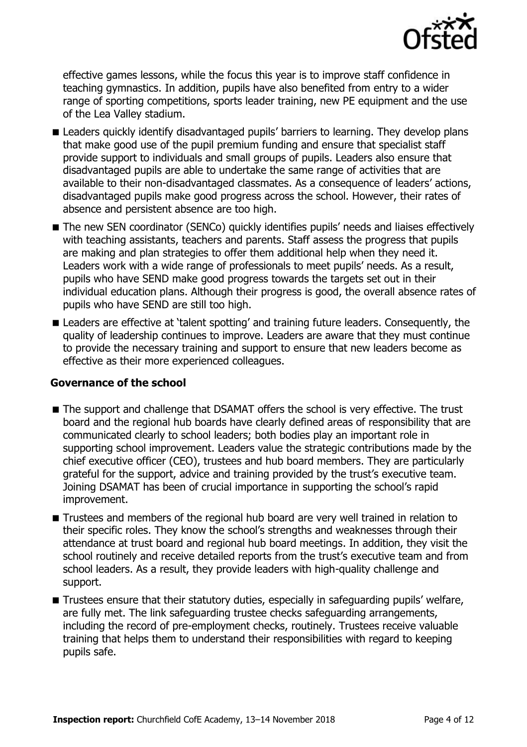

effective games lessons, while the focus this year is to improve staff confidence in teaching gymnastics. In addition, pupils have also benefited from entry to a wider range of sporting competitions, sports leader training, new PE equipment and the use of the Lea Valley stadium.

- **E** Leaders quickly identify disadvantaged pupils' barriers to learning. They develop plans that make good use of the pupil premium funding and ensure that specialist staff provide support to individuals and small groups of pupils. Leaders also ensure that disadvantaged pupils are able to undertake the same range of activities that are available to their non-disadvantaged classmates. As a consequence of leaders' actions, disadvantaged pupils make good progress across the school. However, their rates of absence and persistent absence are too high.
- The new SEN coordinator (SENCo) quickly identifies pupils' needs and liaises effectively with teaching assistants, teachers and parents. Staff assess the progress that pupils are making and plan strategies to offer them additional help when they need it. Leaders work with a wide range of professionals to meet pupils' needs. As a result, pupils who have SEND make good progress towards the targets set out in their individual education plans. Although their progress is good, the overall absence rates of pupils who have SEND are still too high.
- **E** Leaders are effective at 'talent spotting' and training future leaders. Consequently, the quality of leadership continues to improve. Leaders are aware that they must continue to provide the necessary training and support to ensure that new leaders become as effective as their more experienced colleagues.

### **Governance of the school**

- The support and challenge that DSAMAT offers the school is very effective. The trust board and the regional hub boards have clearly defined areas of responsibility that are communicated clearly to school leaders; both bodies play an important role in supporting school improvement. Leaders value the strategic contributions made by the chief executive officer (CEO), trustees and hub board members. They are particularly grateful for the support, advice and training provided by the trust's executive team. Joining DSAMAT has been of crucial importance in supporting the school's rapid improvement.
- Trustees and members of the regional hub board are very well trained in relation to their specific roles. They know the school's strengths and weaknesses through their attendance at trust board and regional hub board meetings. In addition, they visit the school routinely and receive detailed reports from the trust's executive team and from school leaders. As a result, they provide leaders with high-quality challenge and support.
- **Trustees ensure that their statutory duties, especially in safeguarding pupils' welfare,** are fully met. The link safeguarding trustee checks safeguarding arrangements, including the record of pre-employment checks, routinely. Trustees receive valuable training that helps them to understand their responsibilities with regard to keeping pupils safe.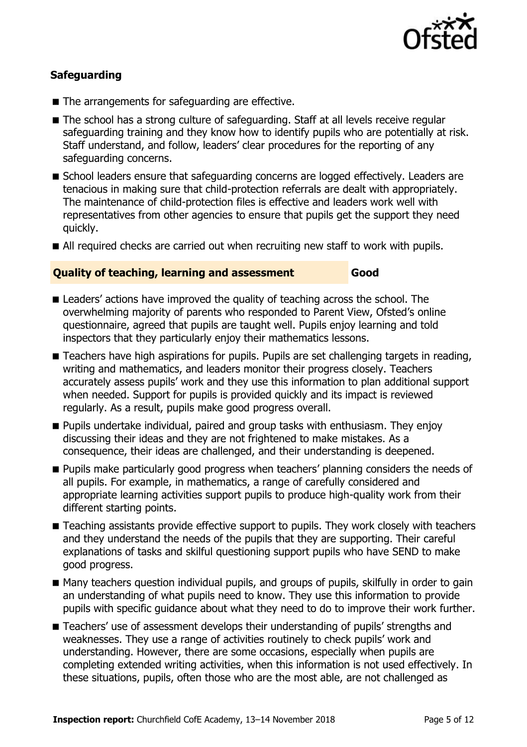

### **Safeguarding**

- The arrangements for safeguarding are effective.
- The school has a strong culture of safeguarding. Staff at all levels receive regular safeguarding training and they know how to identify pupils who are potentially at risk. Staff understand, and follow, leaders' clear procedures for the reporting of any safeguarding concerns.
- School leaders ensure that safeguarding concerns are logged effectively. Leaders are tenacious in making sure that child-protection referrals are dealt with appropriately. The maintenance of child-protection files is effective and leaders work well with representatives from other agencies to ensure that pupils get the support they need quickly.
- All required checks are carried out when recruiting new staff to work with pupils.

#### **Quality of teaching, learning and assessment Good**

- **E** Leaders' actions have improved the quality of teaching across the school. The overwhelming majority of parents who responded to Parent View, Ofsted's online questionnaire, agreed that pupils are taught well. Pupils enjoy learning and told inspectors that they particularly enjoy their mathematics lessons.
- Teachers have high aspirations for pupils. Pupils are set challenging targets in reading, writing and mathematics, and leaders monitor their progress closely. Teachers accurately assess pupils' work and they use this information to plan additional support when needed. Support for pupils is provided quickly and its impact is reviewed regularly. As a result, pupils make good progress overall.
- **Pupils undertake individual, paired and group tasks with enthusiasm. They enjoy** discussing their ideas and they are not frightened to make mistakes. As a consequence, their ideas are challenged, and their understanding is deepened.
- **Pupils make particularly good progress when teachers' planning considers the needs of** all pupils. For example, in mathematics, a range of carefully considered and appropriate learning activities support pupils to produce high-quality work from their different starting points.
- Teaching assistants provide effective support to pupils. They work closely with teachers and they understand the needs of the pupils that they are supporting. Their careful explanations of tasks and skilful questioning support pupils who have SEND to make good progress.
- Many teachers question individual pupils, and groups of pupils, skilfully in order to gain an understanding of what pupils need to know. They use this information to provide pupils with specific guidance about what they need to do to improve their work further.
- Teachers' use of assessment develops their understanding of pupils' strengths and weaknesses. They use a range of activities routinely to check pupils' work and understanding. However, there are some occasions, especially when pupils are completing extended writing activities, when this information is not used effectively. In these situations, pupils, often those who are the most able, are not challenged as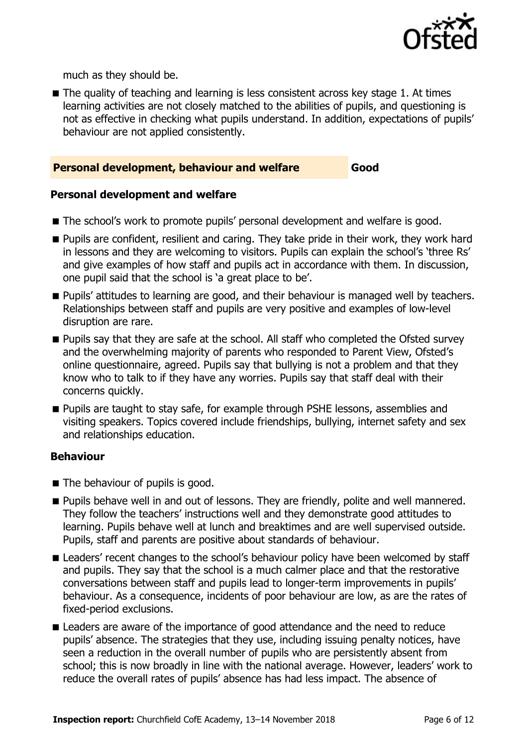

much as they should be.

■ The quality of teaching and learning is less consistent across key stage 1. At times learning activities are not closely matched to the abilities of pupils, and questioning is not as effective in checking what pupils understand. In addition, expectations of pupils' behaviour are not applied consistently.

#### **Personal development, behaviour and welfare Good**

#### **Personal development and welfare**

- The school's work to promote pupils' personal development and welfare is good.
- **Pupils are confident, resilient and caring. They take pride in their work, they work hard** in lessons and they are welcoming to visitors. Pupils can explain the school's 'three Rs' and give examples of how staff and pupils act in accordance with them. In discussion, one pupil said that the school is 'a great place to be'.
- **Pupils'** attitudes to learning are good, and their behaviour is managed well by teachers. Relationships between staff and pupils are very positive and examples of low-level disruption are rare.
- **Pupils say that they are safe at the school. All staff who completed the Ofsted survey** and the overwhelming majority of parents who responded to Parent View, Ofsted's online questionnaire, agreed. Pupils say that bullying is not a problem and that they know who to talk to if they have any worries. Pupils say that staff deal with their concerns quickly.
- **Pupils are taught to stay safe, for example through PSHE lessons, assemblies and** visiting speakers. Topics covered include friendships, bullying, internet safety and sex and relationships education.

#### **Behaviour**

- The behaviour of pupils is good.
- **Pupils behave well in and out of lessons. They are friendly, polite and well mannered.** They follow the teachers' instructions well and they demonstrate good attitudes to learning. Pupils behave well at lunch and breaktimes and are well supervised outside. Pupils, staff and parents are positive about standards of behaviour.
- **E** Leaders' recent changes to the school's behaviour policy have been welcomed by staff and pupils. They say that the school is a much calmer place and that the restorative conversations between staff and pupils lead to longer-term improvements in pupils' behaviour. As a consequence, incidents of poor behaviour are low, as are the rates of fixed-period exclusions.
- **E** Leaders are aware of the importance of good attendance and the need to reduce pupils' absence. The strategies that they use, including issuing penalty notices, have seen a reduction in the overall number of pupils who are persistently absent from school; this is now broadly in line with the national average. However, leaders' work to reduce the overall rates of pupils' absence has had less impact. The absence of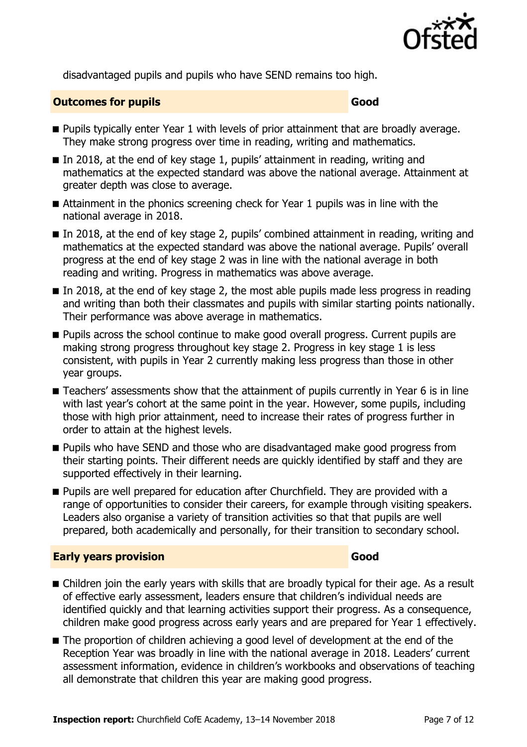

disadvantaged pupils and pupils who have SEND remains too high.

#### **Outcomes for pupils Good Good**

- **Pupils typically enter Year 1 with levels of prior attainment that are broadly average.** They make strong progress over time in reading, writing and mathematics.
- In 2018, at the end of key stage 1, pupils' attainment in reading, writing and mathematics at the expected standard was above the national average. Attainment at greater depth was close to average.
- Attainment in the phonics screening check for Year 1 pupils was in line with the national average in 2018.
- In 2018, at the end of key stage 2, pupils' combined attainment in reading, writing and mathematics at the expected standard was above the national average. Pupils' overall progress at the end of key stage 2 was in line with the national average in both reading and writing. Progress in mathematics was above average.
- $\blacksquare$  In 2018, at the end of key stage 2, the most able pupils made less progress in reading and writing than both their classmates and pupils with similar starting points nationally. Their performance was above average in mathematics.
- **Pupils across the school continue to make good overall progress. Current pupils are** making strong progress throughout key stage 2. Progress in key stage 1 is less consistent, with pupils in Year 2 currently making less progress than those in other year groups.
- Teachers' assessments show that the attainment of pupils currently in Year 6 is in line with last year's cohort at the same point in the year. However, some pupils, including those with high prior attainment, need to increase their rates of progress further in order to attain at the highest levels.
- **Pupils who have SEND and those who are disadvantaged make good progress from** their starting points. Their different needs are quickly identified by staff and they are supported effectively in their learning.
- **Pupils are well prepared for education after Churchfield. They are provided with a** range of opportunities to consider their careers, for example through visiting speakers. Leaders also organise a variety of transition activities so that that pupils are well prepared, both academically and personally, for their transition to secondary school.

### **Early years provision Good Good**

- Children join the early years with skills that are broadly typical for their age. As a result of effective early assessment, leaders ensure that children's individual needs are identified quickly and that learning activities support their progress. As a consequence, children make good progress across early years and are prepared for Year 1 effectively.
- The proportion of children achieving a good level of development at the end of the Reception Year was broadly in line with the national average in 2018. Leaders' current assessment information, evidence in children's workbooks and observations of teaching all demonstrate that children this year are making good progress.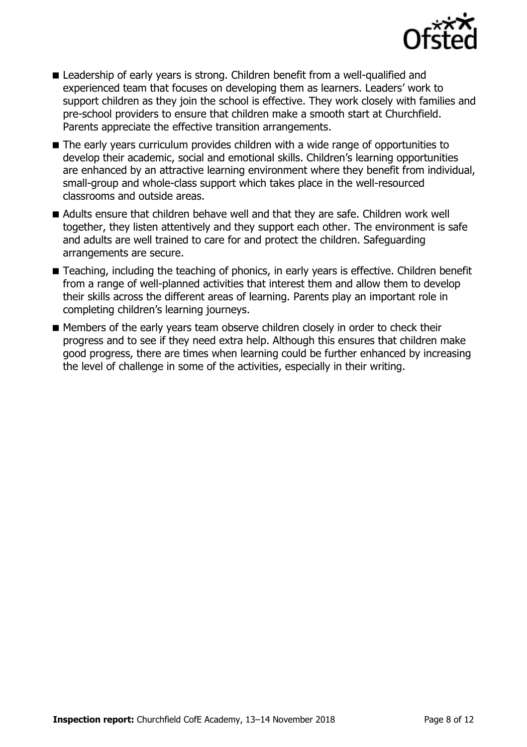

- Leadership of early years is strong. Children benefit from a well-qualified and experienced team that focuses on developing them as learners. Leaders' work to support children as they join the school is effective. They work closely with families and pre-school providers to ensure that children make a smooth start at Churchfield. Parents appreciate the effective transition arrangements.
- The early years curriculum provides children with a wide range of opportunities to develop their academic, social and emotional skills. Children's learning opportunities are enhanced by an attractive learning environment where they benefit from individual, small-group and whole-class support which takes place in the well-resourced classrooms and outside areas.
- Adults ensure that children behave well and that they are safe. Children work well together, they listen attentively and they support each other. The environment is safe and adults are well trained to care for and protect the children. Safeguarding arrangements are secure.
- Teaching, including the teaching of phonics, in early years is effective. Children benefit from a range of well-planned activities that interest them and allow them to develop their skills across the different areas of learning. Parents play an important role in completing children's learning journeys.
- Members of the early years team observe children closely in order to check their progress and to see if they need extra help. Although this ensures that children make good progress, there are times when learning could be further enhanced by increasing the level of challenge in some of the activities, especially in their writing.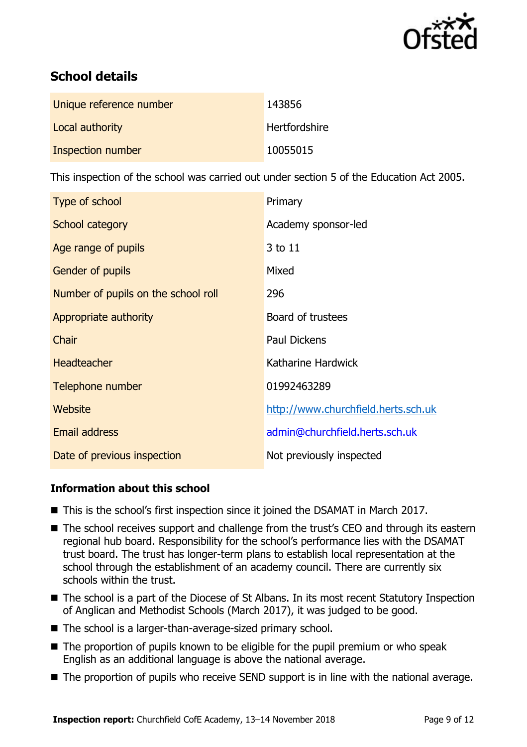

# **School details**

| Unique reference number | 143856        |
|-------------------------|---------------|
| Local authority         | Hertfordshire |
| Inspection number       | 10055015      |

This inspection of the school was carried out under section 5 of the Education Act 2005.

| Type of school                      | Primary                             |
|-------------------------------------|-------------------------------------|
| School category                     | Academy sponsor-led                 |
| Age range of pupils                 | 3 to 11                             |
| <b>Gender of pupils</b>             | Mixed                               |
| Number of pupils on the school roll | 296                                 |
| Appropriate authority               | Board of trustees                   |
| Chair                               | <b>Paul Dickens</b>                 |
| <b>Headteacher</b>                  | Katharine Hardwick                  |
| Telephone number                    | 01992463289                         |
| Website                             | http://www.churchfield.herts.sch.uk |
| Email address                       | admin@churchfield.herts.sch.uk      |
| Date of previous inspection         | Not previously inspected            |

### **Information about this school**

- This is the school's first inspection since it joined the DSAMAT in March 2017.
- The school receives support and challenge from the trust's CEO and through its eastern regional hub board. Responsibility for the school's performance lies with the DSAMAT trust board. The trust has longer-term plans to establish local representation at the school through the establishment of an academy council. There are currently six schools within the trust.
- The school is a part of the Diocese of St Albans. In its most recent Statutory Inspection of Anglican and Methodist Schools (March 2017), it was judged to be good.
- The school is a larger-than-average-sized primary school.
- $\blacksquare$  The proportion of pupils known to be eligible for the pupil premium or who speak English as an additional language is above the national average.
- The proportion of pupils who receive SEND support is in line with the national average.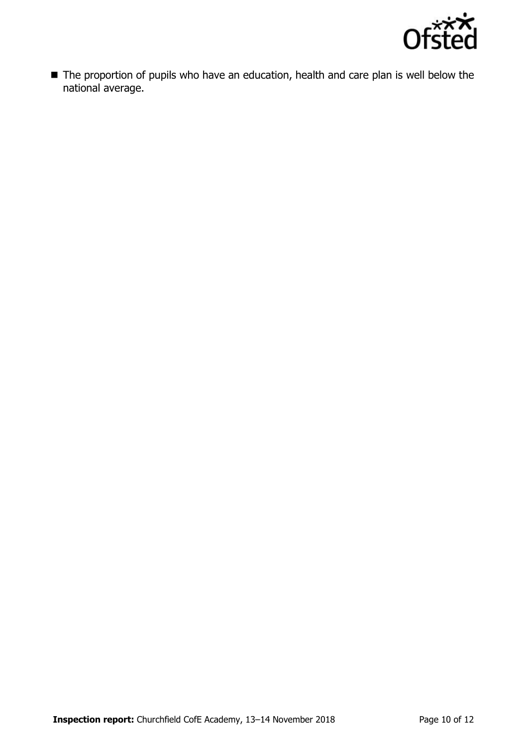

■ The proportion of pupils who have an education, health and care plan is well below the national average.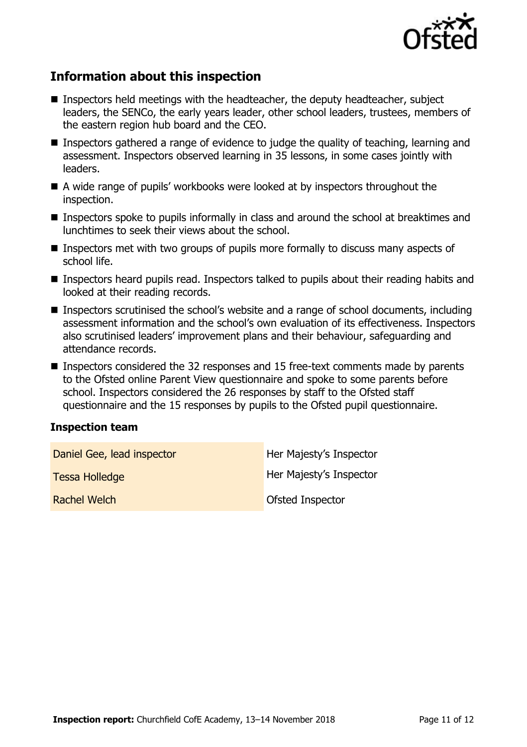

# **Information about this inspection**

- **Inspectors held meetings with the headteacher, the deputy headteacher, subject** leaders, the SENCo, the early years leader, other school leaders, trustees, members of the eastern region hub board and the CEO.
- Inspectors gathered a range of evidence to judge the quality of teaching, learning and assessment. Inspectors observed learning in 35 lessons, in some cases jointly with leaders.
- A wide range of pupils' workbooks were looked at by inspectors throughout the inspection.
- **Inspectors spoke to pupils informally in class and around the school at breaktimes and** lunchtimes to seek their views about the school.
- Inspectors met with two groups of pupils more formally to discuss many aspects of school life.
- **Inspectors heard pupils read. Inspectors talked to pupils about their reading habits and** looked at their reading records.
- Inspectors scrutinised the school's website and a range of school documents, including assessment information and the school's own evaluation of its effectiveness. Inspectors also scrutinised leaders' improvement plans and their behaviour, safeguarding and attendance records.
- Inspectors considered the 32 responses and 15 free-text comments made by parents to the Ofsted online Parent View questionnaire and spoke to some parents before school. Inspectors considered the 26 responses by staff to the Ofsted staff questionnaire and the 15 responses by pupils to the Ofsted pupil questionnaire.

#### **Inspection team**

| Daniel Gee, lead inspector | Her Majesty's Inspector |
|----------------------------|-------------------------|
| <b>Tessa Holledge</b>      | Her Majesty's Inspector |
| Rachel Welch               | Ofsted Inspector        |